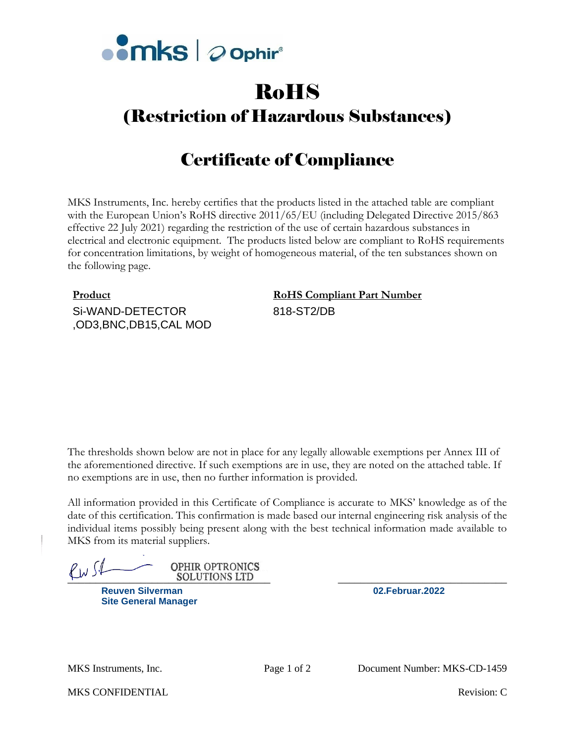

# RoHS

### (Restriction of Hazardous Substances)

## Certificate of Compliance

MKS Instruments, Inc. hereby certifies that the products listed in the attached table are compliant with the European Union's RoHS directive 2011/65/EU (including Delegated Directive 2015/863 effective 22 July 2021) regarding the restriction of the use of certain hazardous substances in electrical and electronic equipment. The products listed below are compliant to RoHS requirements for concentration limitations, by weight of homogeneous material, of the ten substances shown on the following page.

Si-WAND-DETECTOR ,OD3,BNC,DB15,CAL MOD

### **Product RoHS Compliant Part Number** 818-ST2/DB

The thresholds shown below are not in place for any legally allowable exemptions per Annex III of the aforementioned directive. If such exemptions are in use, they are noted on the attached table. If no exemptions are in use, then no further information is provided.

All information provided in this Certificate of Compliance is accurate to MKS' knowledge as of the date of this certification. This confirmation is made based our internal engineering risk analysis of the individual items possibly being present along with the best technical information made available to MKS from its material suppliers.

 $\frac{\sqrt{11}}{\sqrt{11}}$  OPHIR OPTRONICS<br>SOLUTIONS LTD<br>Reuven Silverman 02. Februar. 2022 **OPHIR OPTRONICS** 

**Reuven Silverman Site General Manager**

MKS CONFIDENTIAL **Revision:** C